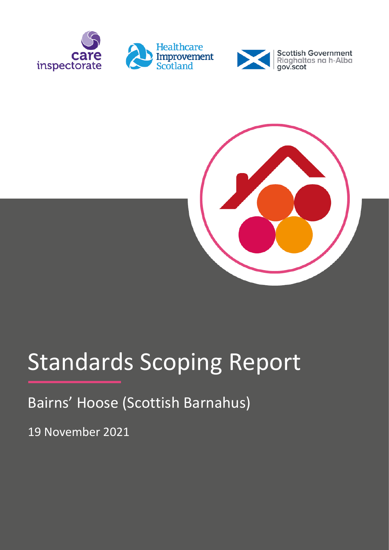





# Standards Scoping Report

Bairns' Hoose (Scottish Barnahus)

19 November 2021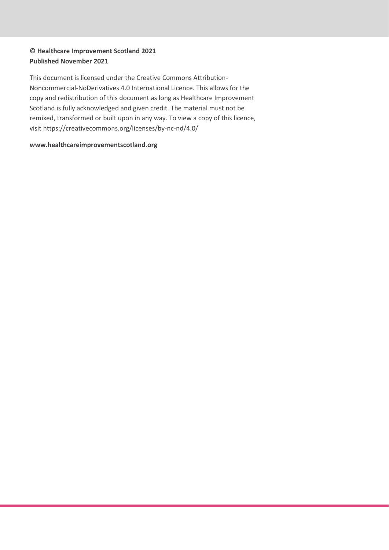#### **© Healthcare Improvement Scotland 2021 Published November 2021**

This document is licensed under the Creative Commons Attribution-Noncommercial-NoDerivatives 4.0 International Licence. This allows for the copy and redistribution of this document as long as Healthcare Improvement Scotland is fully acknowledged and given credit. The material must not be remixed, transformed or built upon in any way. To view a copy of this licence, visit https://creativecommons.org/licenses/by-nc-nd/4.0/

#### **www.healthcareimprovementscotland.org**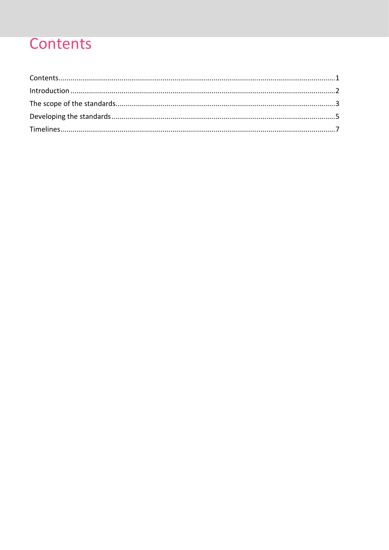## <span id="page-2-0"></span>Contents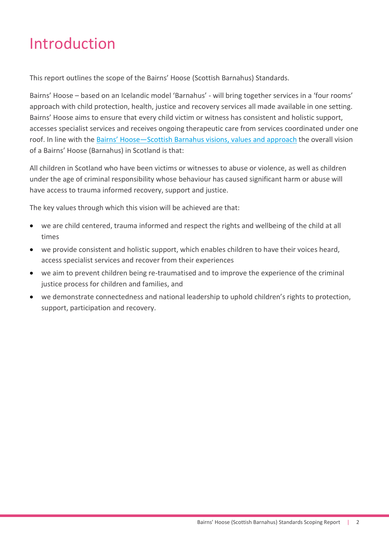## <span id="page-3-0"></span>Introduction

This report outlines the scope of the Bairns' Hoose (Scottish Barnahus) Standards.

Bairns' Hoose – based on an Icelandic model 'Barnahus' - will bring together services in a 'four rooms' approach with child protection, health, justice and recovery services all made available in one setting. Bairns' Hoose aims to ensure that every child victim or witness has consistent and holistic support, accesses specialist services and receives ongoing therapeutic care from services coordinated under one roof. In line with the Bairns' Hoose—[Scottish Barnahus visions, values and approach](https://www.gov.scot/publications/bairns-hoose-scottish-barnahaus-vision-values-and-approach/#:~:text=Bairns) the overall vision of a Bairns' Hoose (Barnahus) in Scotland is that:

All children in Scotland who have been victims or witnesses to abuse or violence, as well as children under the age of criminal responsibility whose behaviour has caused significant harm or abuse will have access to trauma informed recovery, support and justice.

The key values through which this vision will be achieved are that:

- we are child centered, trauma informed and respect the rights and wellbeing of the child at all times
- we provide consistent and holistic support, which enables children to have their voices heard, access specialist services and recover from their experiences
- we aim to prevent children being re-traumatised and to improve the experience of the criminal justice process for children and families, and
- we demonstrate connectedness and national leadership to uphold children's rights to protection, support, participation and recovery.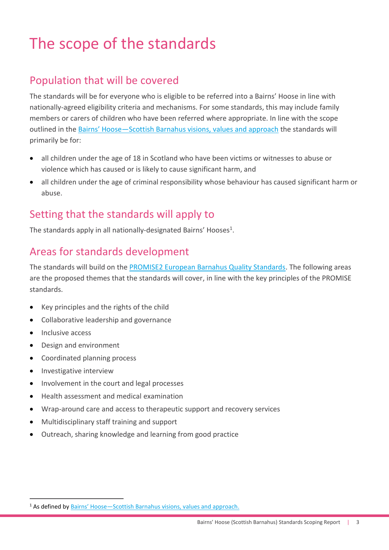## <span id="page-4-0"></span>The scope of the standards

## Population that will be covered

The standards will be for everyone who is eligible to be referred into a Bairns' Hoose in line with nationally-agreed eligibility criteria and mechanisms. For some standards, this may include family members or carers of children who have been referred where appropriate. In line with the scope outlined in the Bairns' Hoose-[Scottish Barnahus visions, values and approach](https://www.gov.scot/publications/bairns-hoose-scottish-barnahaus-vision-values-and-approach/#:~:text=Bairns) the standards will primarily be for:

- all children under the age of 18 in Scotland who have been victims or witnesses to abuse or violence which has caused or is likely to cause significant harm, and
- all children under the age of criminal responsibility whose behaviour has caused significant harm or abuse.

### Setting that the standards will apply to

The standards apply in all nationally-designated Bairns' Hooses<sup>1</sup>.

## Areas for standards development

The standards will build on the [PROMISE2 European Barnahus Quality Standards.](https://www.barnahus.eu/en/publication/standards/) The following areas are the proposed themes that the standards will cover, in line with the key principles of the PROMISE standards.

- Key principles and the rights of the child
- Collaborative leadership and governance
- Inclusive access

.

- Design and environment
- Coordinated planning process
- **•** Investigative interview
- Involvement in the court and legal processes
- Health assessment and medical examination
- Wrap-around care and access to therapeutic support and recovery services
- Multidisciplinary staff training and support
- Outreach, sharing knowledge and learning from good practice

<sup>&</sup>lt;sup>1</sup> As defined by Bairns' Hoose-[Scottish Barnahus visions, values and approach.](https://www.gov.scot/publications/bairns-hoose-scottish-barnahaus-vision-values-and-approach/#:~:text=Bairns)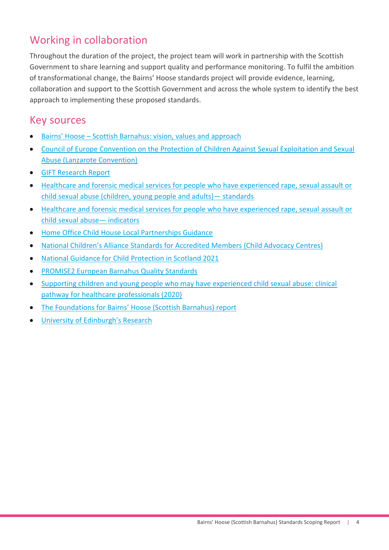## Working in collaboration

Throughout the duration of the project, the project team will work in partnership with the Scottish Government to share learning and support quality and performance monitoring. To fulfil the ambition of transformational change, the Bairns' Hoose standards project will provide evidence, learning, collaboration and support to the Scottish Government and across the whole system to identify the best approach to implementing these proposed standards.

### Key sources

- Bairns' Hoose [Scottish Barnahus: vision, values and approach](https://www.gov.scot/publications/bairns-hoose-scottish-barnahaus-vision-values-and-approach/)
- [Council of Europe Convention on the Protection of Children Against](https://rm.coe.int/1680084822) Sexual Exploitation and Sexual [Abuse \(Lanzarote Convention\)](https://rm.coe.int/1680084822)
- **[GIFT Research Report](https://www.healthcareimprovementscotland.org/our_work/standards_and_guidelines/stnds/barnahus_standards.aspx)**
- [Healthcare and forensic medical services for people who have experienced rape, sexual assault or](https://www.healthcareimprovementscotland.org/our_work/standards_and_guidelines/stnds/sexual_assault_services.aspx)  [child sexual abuse \(children, young people and adults\)](https://www.healthcareimprovementscotland.org/our_work/standards_and_guidelines/stnds/sexual_assault_services.aspx)— standards
- [Healthcare and forensic medical services for people who have experienced rape, sexual](https://www.healthcareimprovementscotland.org/our_work/standards_and_guidelines/stnds/sexual_assault_indicators.aspx) assault or [child sexual abuse](https://www.healthcareimprovementscotland.org/our_work/standards_and_guidelines/stnds/sexual_assault_indicators.aspx)— indicators
- Home Office Child [House Local Partnerships Guidance](https://assets.publishing.service.gov.uk/government/uploads/system/uploads/attachment_data/file/1014190/Child_House_Local_Partnerships_Guidance_-_September_2021.pdf)
- [National Children's Alliance Standards for Accredited Members \(Child Advocacy Centres\)](https://www.nationalchildrensalliance.org/wp-content/uploads/2015/06/NCA-Standards-for-Accredited-Members-2017.pdf)
- [National Guidance for Child Protection in Scotland 2021](https://www.gov.scot/publications/national-guidance-child-protection-scotland-2021/)
- [PROMISE2 European Barnahus Quality Standards](https://www.barnahus.eu/en/publication/standards/)
- [Supporting children and young people who may have experienced child sexual abuse: clinical](https://www.gov.scot/publications/clinical-pathway-healthcare-professionals-working-support-children-young-people-experienced-child-sexual-abuse/)  [pathway for healthcare professionals \(2020\)](https://www.gov.scot/publications/clinical-pathway-healthcare-professionals-working-support-children-young-people-experienced-child-sexual-abuse/)
- [The Foundations for Bairns' Hoose \(Scottish Barnahus\) report](https://www.healthcareimprovementscotland.org/our_work/standards_and_guidelines/stnds/barnahus_standards.aspx)
- [University of Edinburgh's Research](https://www.healthcareimprovementscotland.org/our_work/standards_and_guidelines/stnds/barnahus_standards.aspx)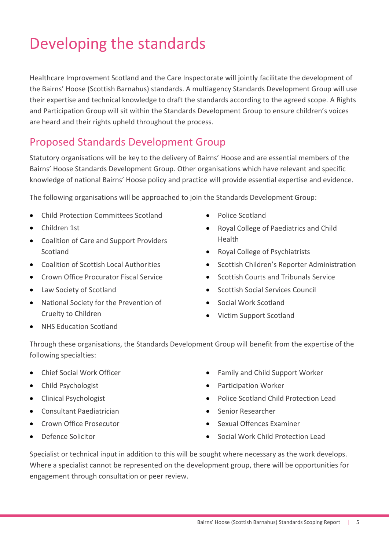## <span id="page-6-0"></span>Developing the standards

Healthcare Improvement Scotland and the Care Inspectorate will jointly facilitate the development of the Bairns' Hoose (Scottish Barnahus) standards. A multiagency Standards Development Group will use their expertise and technical knowledge to draft the standards according to the agreed scope. A Rights and Participation Group will sit within the Standards Development Group to ensure children's voices are heard and their rights upheld throughout the process.

## Proposed Standards Development Group

Statutory organisations will be key to the delivery of Bairns' Hoose and are essential members of the Bairns' Hoose Standards Development Group. Other organisations which have relevant and specific knowledge of national Bairns' Hoose policy and practice will provide essential expertise and evidence.

The following organisations will be approached to join the Standards Development Group:

- Child Protection Committees Scotland
- Children 1st
- Coalition of Care and Support Providers Scotland
- Coalition of Scottish Local Authorities
- **Crown Office Procurator Fiscal Service**
- Law Society of Scotland
- National Society for the Prevention of Cruelty to Children
- Police Scotland
- Royal College of Paediatrics and Child Health
- Royal College of Psychiatrists
- Scottish Children's Reporter Administration
- Scottish Courts and Tribunals Service
- Scottish Social Services Council
- Social Work Scotland
- Victim Support Scotland

• NHS Education Scotland

Through these organisations, the Standards Development Group will benefit from the expertise of the following specialties:

- Chief Social Work Officer
- Child Psychologist
- Clinical Psychologist
- Consultant Paediatrician
- Crown Office Prosecutor
- Defence Solicitor
- Family and Child Support Worker
- **•** Participation Worker
- Police Scotland Child Protection Lead
- Senior Researcher
- Sexual Offences Examiner
- Social Work Child Protection Lead

Specialist or technical input in addition to this will be sought where necessary as the work develops. Where a specialist cannot be represented on the development group, there will be opportunities for engagement through consultation or peer review.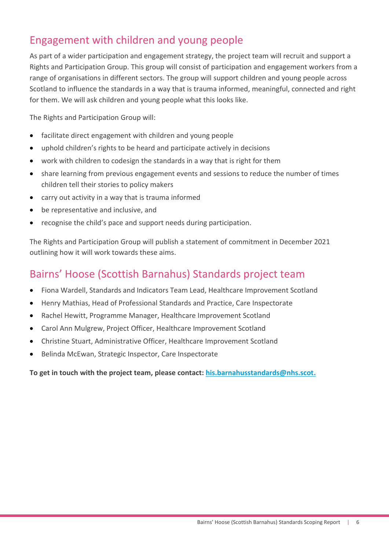## Engagement with children and young people

As part of a wider participation and engagement strategy, the project team will recruit and support a Rights and Participation Group. This group will consist of participation and engagement workers from a range of organisations in different sectors. The group will support children and young people across Scotland to influence the standards in a way that is trauma informed, meaningful, connected and right for them. We will ask children and young people what this looks like.

The Rights and Participation Group will:

- facilitate direct engagement with children and young people
- uphold children's rights to be heard and participate actively in decisions
- work with children to codesign the standards in a way that is right for them
- share learning from previous engagement events and sessions to reduce the number of times children tell their stories to policy makers
- carry out activity in a way that is trauma informed
- be representative and inclusive, and
- recognise the child's pace and support needs during participation.

The Rights and Participation Group will publish a statement of commitment in December 2021 outlining how it will work towards these aims.

### Bairns' Hoose (Scottish Barnahus) Standards project team

- Fiona Wardell, Standards and Indicators Team Lead, Healthcare Improvement Scotland
- Henry Mathias, Head of Professional Standards and Practice, Care Inspectorate
- Rachel Hewitt, Programme Manager, Healthcare Improvement Scotland
- Carol Ann Mulgrew, Project Officer, Healthcare Improvement Scotland
- Christine Stuart, Administrative Officer, Healthcare Improvement Scotland
- Belinda McEwan, Strategic Inspector, Care Inspectorate

**To get in touch with the project team, please contact: [his.barnahusstandards@nhs.scot.](mailto:his.barnahusstandards@nhs.scot)**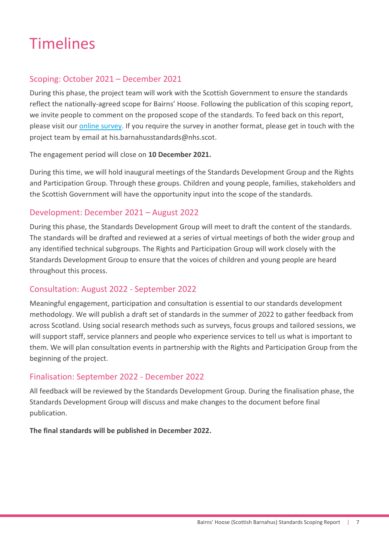## <span id="page-8-0"></span>Timelines

#### Scoping: October 2021 – December 2021

During this phase, the project team will work with the Scottish Government to ensure the standards reflect the nationally-agreed scope for Bairns' Hoose. Following the publication of this scoping report, we invite people to comment on the proposed scope of the standards. To feed back on this report, please visit our [online survey.](https://www.smartsurvey.co.uk/s/FDBTPH/) If you require the survey in another format, please get in touch with the project team by email at [his.barnahusstandards@nhs.scot.](mailto:his.barnahusstandards@nhs.scot)

The engagement period will close on **10 December 2021.**

During this time, we will hold inaugural meetings of the Standards Development Group and the Rights and Participation Group. Through these groups. Children and young people, families, stakeholders and the Scottish Government will have the opportunity input into the scope of the standards.

#### Development: December 2021 – August 2022

During this phase, the Standards Development Group will meet to draft the content of the standards. The standards will be drafted and reviewed at a series of virtual meetings of both the wider group and any identified technical subgroups. The Rights and Participation Group will work closely with the Standards Development Group to ensure that the voices of children and young people are heard throughout this process.

#### Consultation: August 2022 - September 2022

Meaningful engagement, participation and consultation is essential to our standards development methodology. We will publish a draft set of standards in the summer of 2022 to gather feedback from across Scotland. Using social research methods such as surveys, focus groups and tailored sessions, we will support staff, service planners and people who experience services to tell us what is important to them. We will plan consultation events in partnership with the Rights and Participation Group from the beginning of the project.

#### Finalisation: September 2022 - December 2022

All feedback will be reviewed by the Standards Development Group. During the finalisation phase, the Standards Development Group will discuss and make changes to the document before final publication.

**The final standards will be published in December 2022.**